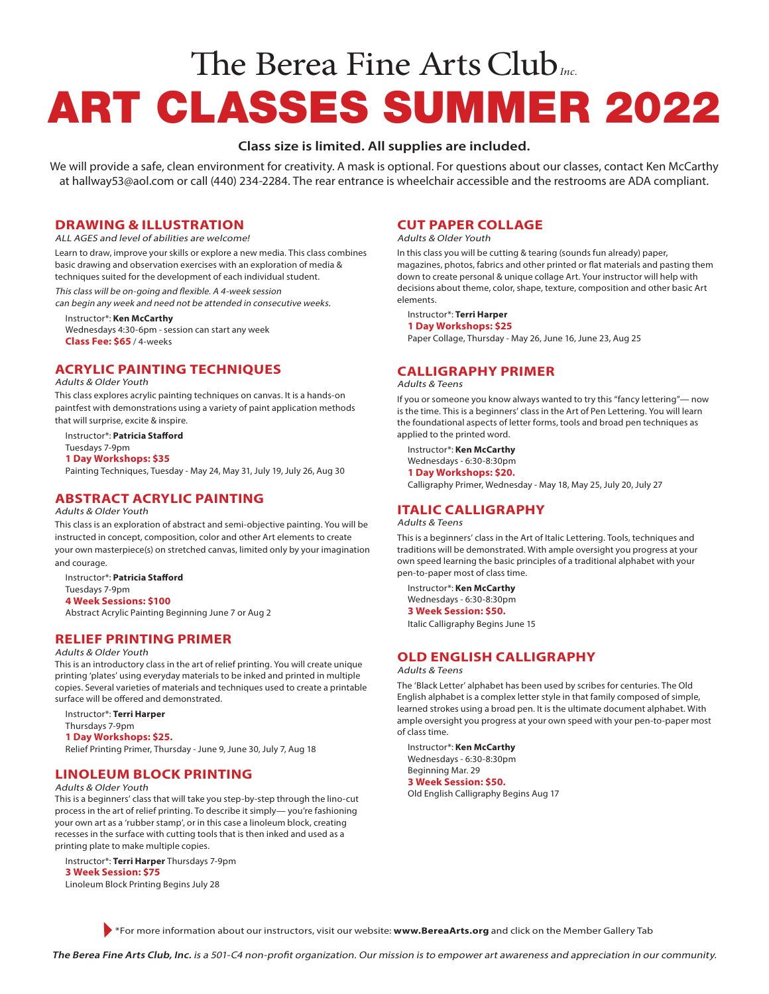# The Berea Fine Arts Club*Inc.* ART CLASSES SUMMER 2022

# **Class size is limited. All supplies are included.**

We will provide a safe, clean environment for creativity. A mask is optional. For questions about our classes, contact Ken McCarthy at hallway53@aol.com or call (440) 234-2284. The rear entrance is wheelchair accessible and the restrooms are ADA compliant.

## **DRAWING & ILLUSTRATION**

ALL AGES and level of abilities are welcome!

Learn to draw, improve your skills or explore a new media. This class combines basic drawing and observation exercises with an exploration of media & techniques suited for the development of each individual student.

This class will be on-going and flexible. A 4-week session can begin any week and need not be attended in consecutive weeks.

Instructor\*: **Ken McCarthy**

Wednesdays 4:30-6pm - session can start any week **Class Fee: \$65** / 4-weeks

# **ACRYLIC PAINTING TECHNIQUES**

Adults & Older Youth

This class explores acrylic painting techniques on canvas. It is a hands-on paintfest with demonstrations using a variety of paint application methods that will surprise, excite & inspire.

Instructor\*: **Patricia Stafford** Tuesdays 7-9pm **1 Day Workshops: \$35** Painting Techniques, Tuesday - May 24, May 31, July 19, July 26, Aug 30

# **ABSTRACT ACRYLIC PAINTING**

#### Adults & Older Youth

This class is an exploration of abstract and semi-objective painting. You will be instructed in concept, composition, color and other Art elements to create your own masterpiece(s) on stretched canvas, limited only by your imagination and courage.

Instructor\*: **Patricia Stafford** Tuesdays 7-9pm **4 Week Sessions: \$100** Abstract Acrylic Painting Beginning June 7 or Aug 2

**RELIEF PRINTING PRIMER**

#### Adults & Older Youth

This is an introductory class in the art of relief printing. You will create unique printing 'plates' using everyday materials to be inked and printed in multiple copies. Several varieties of materials and techniques used to create a printable surface will be offered and demonstrated.

Instructor\*: **Terri Harper** Thursdays 7-9pm **1 Day Workshops: \$25.**  Relief Printing Primer, Thursday - June 9, June 30, July 7, Aug 18

# **LINOLEUM BLOCK PRINTING**

## Adults & Older Youth

This is a beginners' class that will take you step-by-step through the lino-cut process in the art of relief printing. To describe it simply— you're fashioning your own art as a 'rubber stamp', or in this case a linoleum block, creating recesses in the surface with cutting tools that is then inked and used as a printing plate to make multiple copies.

Instructor\*: **Terri Harper** Thursdays 7-9pm **3 Week Session: \$75**  Linoleum Block Printing Begins July 28

## **CUT PAPER COLLAGE**

Adults & Older Youth

In this class you will be cutting & tearing (sounds fun already) paper, magazines, photos, fabrics and other printed or flat materials and pasting them down to create personal & unique collage Art. Your instructor will help with decisions about theme, color, shape, texture, composition and other basic Art elements.

## Instructor\*: **Terri Harper**

**1 Day Workshops: \$25** Paper Collage, Thursday - May 26, June 16, June 23, Aug 25

# **CALLIGRAPHY PRIMER**

#### Adults & Teens

If you or someone you know always wanted to try this "fancy lettering"— now is the time. This is a beginners' class in the Art of Pen Lettering. You will learn the foundational aspects of letter forms, tools and broad pen techniques as applied to the printed word.

Instructor\*: **Ken McCarthy** Wednesdays - 6:30-8:30pm **1 Day Workshops: \$20.** Calligraphy Primer, Wednesday - May 18, May 25, July 20, July 27

# **ITALIC CALLIGRAPHY**

### Adults & Teens

This is a beginners' class in the Art of Italic Lettering. Tools, techniques and traditions will be demonstrated. With ample oversight you progress at your own speed learning the basic principles of a traditional alphabet with your pen-to-paper most of class time.

Instructor\*: **Ken McCarthy** Wednesdays - 6:30-8:30pm **3 Week Session: \$50.**

Italic Calligraphy Begins June 15

# **OLD ENGLISH CALLIGRAPHY**

## Adults & Teens

The 'Black Letter' alphabet has been used by scribes for centuries. The Old English alphabet is a complex letter style in that family composed of simple, learned strokes using a broad pen. It is the ultimate document alphabet. With ample oversight you progress at your own speed with your pen-to-paper most of class time.

Instructor\*: **Ken McCarthy** Wednesdays - 6:30-8:30pm Beginning Mar. 29 **3 Week Session: \$50.** Old English Calligraphy Begins Aug 17

\*For more information about our instructors, visit our website: **www.BereaArts.org** and click on the Member Gallery Tab

**The Berea Fine Arts Club, Inc.** is a 501-C4 non-profit organization. Our mission is to empower art awareness and appreciation in our community.